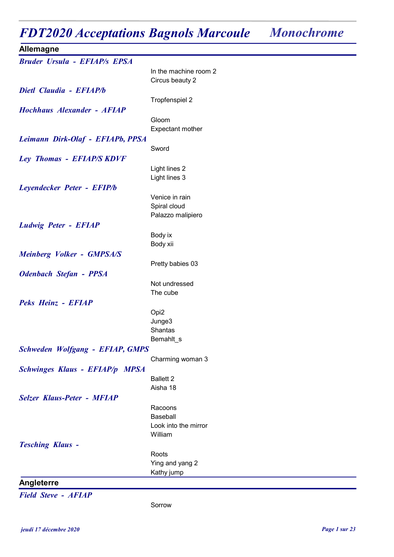## FDT2020 Acceptations Bagnols Marcoule Monochrome

| Allemagne                              |                                   |
|----------------------------------------|-----------------------------------|
| <b>Bruder Ursula - EFIAP/s EPSA</b>    |                                   |
|                                        | In the machine room 2             |
|                                        | Circus beauty 2                   |
| Dietl Claudia - EFIAP/b                |                                   |
|                                        | Tropfenspiel 2                    |
| Hochhaus Alexander - AFIAP             |                                   |
|                                        | Gloom                             |
|                                        | Expectant mother                  |
| Leimann Dirk-Olaf - EFIAPb, PPSA       |                                   |
|                                        | Sword                             |
| Ley Thomas - EFIAP/S KDVF              |                                   |
|                                        | Light lines 2                     |
|                                        | Light lines 3                     |
| Leyendecker Peter - EFIP/b             |                                   |
|                                        | Venice in rain                    |
|                                        | Spiral cloud<br>Palazzo malipiero |
|                                        |                                   |
| <b>Ludwig Peter - EFIAP</b>            | Body ix                           |
|                                        | Body xii                          |
| <b>Meinberg Volker - GMPSA/S</b>       |                                   |
|                                        | Pretty babies 03                  |
| <b>Odenbach Stefan - PPSA</b>          |                                   |
|                                        | Not undressed                     |
|                                        | The cube                          |
| Peks Heinz - EFIAP                     |                                   |
|                                        | Opi <sub>2</sub>                  |
|                                        | Junge3                            |
|                                        | Shantas                           |
|                                        | Bemahlt_s                         |
| <b>Schweden Wolfgang - EFIAP, GMPS</b> |                                   |
|                                        | Charming woman 3                  |
| <b>Schwinges Klaus - EFIAP/p MPSA</b>  |                                   |
|                                        | <b>Ballett 2</b>                  |
|                                        | Aisha 18                          |
| <b>Selzer Klaus-Peter - MFIAP</b>      |                                   |
|                                        | Racoons                           |
|                                        | Baseball<br>Look into the mirror  |
|                                        | William                           |
| <b>Tesching Klaus -</b>                |                                   |
|                                        | Roots                             |
|                                        | Ying and yang 2                   |
|                                        | Kathy jump                        |
| Angleterre                             |                                   |

Field Steve - AFIAP

Sorrow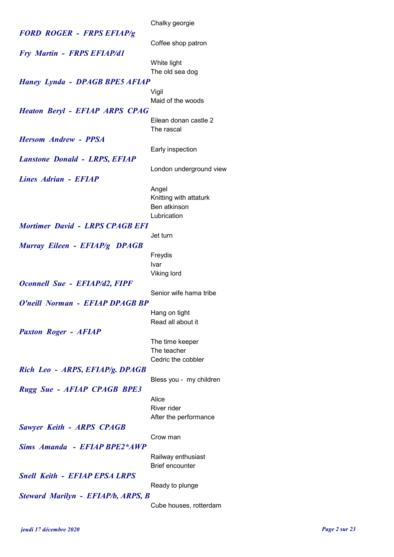|                                        | Chalky georgie                               |
|----------------------------------------|----------------------------------------------|
| <b>FORD ROGER - FRPS EFIAP/g</b>       |                                              |
|                                        | Coffee shop patron                           |
| <b>Fry Martin - FRPS EFIAP/d1</b>      |                                              |
|                                        | White light                                  |
|                                        | The old sea dog                              |
| <b>Haney Lynda - DPAGB BPE5 AFIAP</b>  |                                              |
|                                        | Vigil                                        |
|                                        | Maid of the woods                            |
| <b>Heaton Beryl - EFIAP ARPS CPAG</b>  |                                              |
|                                        | Eilean donan castle 2                        |
|                                        | The rascal                                   |
| <b>Hersom Andrew - PPSA</b>            |                                              |
|                                        | Early inspection                             |
| <b>Lanstone Donald - LRPS, EFIAP</b>   |                                              |
|                                        | London underground view                      |
| Lines Adrian - EFIAP                   |                                              |
|                                        |                                              |
|                                        | Angel<br>Knitting with attaturk              |
|                                        | Ben atkinson                                 |
|                                        | Lubrication                                  |
| <b>Mortimer David - LRPS CPAGB EFI</b> |                                              |
|                                        | Jet turn                                     |
|                                        |                                              |
| Murray Eileen - EFIAP/g DPAGB          |                                              |
|                                        | Freydis<br>Ivar                              |
|                                        | <b>Viking lord</b>                           |
| <b>Oconnell Sue - EFIAP/d2, FIPF</b>   |                                              |
|                                        | Senior wife hama tribe                       |
| O'neill Norman - EFIAP DPAGB BP        |                                              |
|                                        |                                              |
|                                        | Hang on tight<br>Read all about it           |
|                                        |                                              |
| <b>Paxton Roger - AFIAP</b>            |                                              |
|                                        | The time keeper<br>The teacher               |
|                                        | Cedric the cobbler                           |
| Rich Leo - ARPS, EFIAP/g. DPAGB        |                                              |
|                                        | Bless you - my children                      |
| <b>Rugg Sue - AFIAP CPAGB BPE3</b>     |                                              |
|                                        | Alice                                        |
|                                        | River rider                                  |
|                                        | After the performance                        |
| <b>Sawyer Keith - ARPS CPAGB</b>       |                                              |
|                                        | Crow man                                     |
| Sims Amanda - EFIAP BPE2*AWP           |                                              |
|                                        |                                              |
|                                        | Railway enthusiast<br><b>Brief encounter</b> |
|                                        |                                              |
| <b>Snell Keith - EFIAP EPSA LRPS</b>   |                                              |
|                                        | Ready to plunge                              |
| Steward Marilyn - EFIAP/b, ARPS, B     |                                              |
|                                        | Cube houses, rotterdam                       |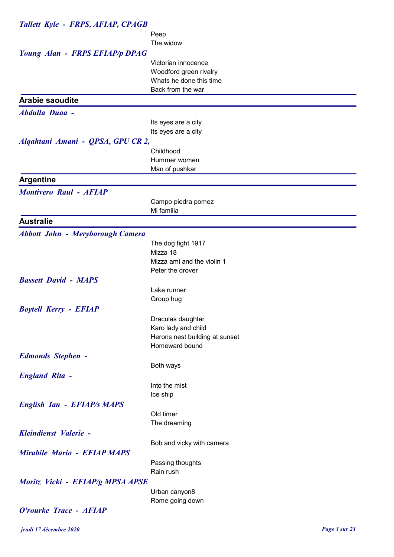| Tallett Kyle - FRPS, AFIAP, CPAGB       |                                                |
|-----------------------------------------|------------------------------------------------|
|                                         | Peep                                           |
|                                         | The widow                                      |
| <b>Young Alan - FRPS EFIAP/p DPAG</b>   |                                                |
|                                         | Victorian innocence                            |
|                                         | Woodford green rivalry                         |
|                                         | Whats he done this time                        |
|                                         | Back from the war                              |
| <b>Arabie saoudite</b>                  |                                                |
| <b>Abdulla Duaa -</b>                   |                                                |
|                                         | Its eyes are a city                            |
|                                         | Its eyes are a city                            |
| Alqahtani Amani - QPSA, GPU CR 2,       |                                                |
|                                         | Childhood<br>Hummer women                      |
|                                         | Man of pushkar                                 |
| <b>Argentine</b>                        |                                                |
|                                         |                                                |
| <b>Montivero Raul - AFIAP</b>           |                                                |
|                                         | Campo piedra pomez<br>Mi familia               |
|                                         |                                                |
| <b>Australie</b>                        |                                                |
| <b>Abbott John - Meryborough Camera</b> |                                                |
|                                         | The dog fight 1917                             |
|                                         | Mizza 18                                       |
|                                         | Mizza ami and the violin 1<br>Peter the drover |
| <b>Bassett David - MAPS</b>             |                                                |
|                                         | Lake runner                                    |
|                                         | Group hug                                      |
| <b>Boytell Kerry - EFIAP</b>            |                                                |
|                                         | Draculas daughter                              |
|                                         | Karo lady and child                            |
|                                         | Herons nest building at sunset                 |
|                                         | Homeward bound                                 |
| <b>Edmonds Stephen -</b>                |                                                |
|                                         | Both ways                                      |
| <b>England Rita -</b>                   |                                                |
|                                         | Into the mist                                  |
|                                         | Ice ship                                       |
| <b>English Ian - EFIAP/s MAPS</b>       |                                                |
|                                         | Old timer                                      |
|                                         | The dreaming                                   |
| Kleindienst Valerie -                   |                                                |
|                                         | Bob and vicky with camera                      |
| <b>Mirabile Mario - EFIAP MAPS</b>      |                                                |
|                                         | Passing thoughts                               |
|                                         | Rain rush                                      |
| Moritz Vicki - EFIAP/g MPSA APSE        |                                                |
|                                         | Urban canyon8                                  |
| O'rourke Trace - AFIAP                  | Rome going down                                |
|                                         |                                                |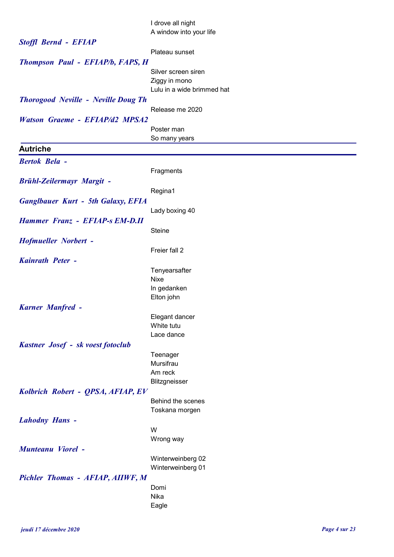|                                            | I drove all night                           |
|--------------------------------------------|---------------------------------------------|
|                                            | A window into your life                     |
| <b>Stoffl Bernd - EFIAP</b>                |                                             |
|                                            | Plateau sunset                              |
| Thompson Paul - EFIAP/b, FAPS, H           |                                             |
|                                            | Silver screen siren                         |
|                                            | Ziggy in mono<br>Lulu in a wide brimmed hat |
|                                            |                                             |
| <b>Thorogood Neville - Neville Doug Th</b> | Release me 2020                             |
| <b>Watson Graeme - EFIAP/d2 MPSA2</b>      |                                             |
|                                            | Poster man                                  |
|                                            | So many years                               |
| <b>Autriche</b>                            |                                             |
| <b>Bertok Bela -</b>                       |                                             |
|                                            | Fragments                                   |
| <b>Brühl-Zeilermayr Margit -</b>           |                                             |
|                                            | Regina1                                     |
| <b>Ganglbauer Kurt - 5th Galaxy, EFIA</b>  |                                             |
|                                            | Lady boxing 40                              |
| Hammer Franz - EFIAP-s EM-D.II             |                                             |
|                                            | <b>Steine</b>                               |
| <b>Hofmueller Norbert -</b>                |                                             |
|                                            | Freier fall 2                               |
| Kainrath Peter -                           |                                             |
|                                            | Tenyearsafter                               |
|                                            | <b>Nixe</b>                                 |
|                                            | In gedanken                                 |
|                                            | Elton john                                  |
| <b>Karner Manfred -</b>                    |                                             |
|                                            | Elegant dancer                              |
|                                            | White tutu<br>Lace dance                    |
|                                            |                                             |
| Kastner Josef - sk voest fotoclub          | Teenager                                    |
|                                            | Mursifrau                                   |
|                                            | Am reck                                     |
|                                            | Blitzgneisser                               |
| Kolbrich Robert - QPSA, AFIAP, EV          |                                             |
|                                            | Behind the scenes                           |
|                                            | Toskana morgen                              |
| <b>Lahodny Hans -</b>                      |                                             |
|                                            | W                                           |
|                                            | Wrong way                                   |
| <b>Munteanu Viorel -</b>                   |                                             |
|                                            | Winterweinberg 02                           |
|                                            | Winterweinberg 01                           |
| Pichler Thomas - AFIAP, AIIWF, M           |                                             |
|                                            | Domi<br>Nika                                |
|                                            | Eagle                                       |
|                                            |                                             |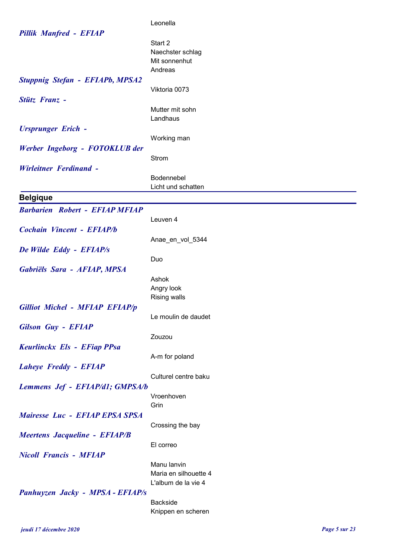|                                        | Leonella                    |
|----------------------------------------|-----------------------------|
| <b>Pillik Manfred - EFIAP</b>          |                             |
|                                        | Start 2<br>Naechster schlag |
|                                        | Mit sonnenhut               |
|                                        | Andreas                     |
| <b>Stuppnig Stefan - EFIAPb, MPSA2</b> |                             |
|                                        | Viktoria 0073               |
| Stütz Franz -                          |                             |
|                                        | Mutter mit sohn             |
|                                        | Landhaus                    |
| <b>Ursprunger Erich -</b>              |                             |
|                                        | Working man                 |
| Werber Ingeborg - FOTOKLUB der         |                             |
|                                        | Strom                       |
| <b>Wirleitner Ferdinand -</b>          |                             |
|                                        | Bodennebel                  |
|                                        | Licht und schatten          |
| <b>Belgique</b>                        |                             |
| <b>Barbarien Robert - EFIAP MFIAP</b>  |                             |
|                                        | Leuven 4                    |
| <b>Cochain Vincent - EFIAP/b</b>       |                             |
|                                        | Anae_en_vol_5344            |
| De Wilde Eddy - EFIAP/s                |                             |
|                                        | Duo                         |
| Gabriëls Sara - AFIAP, MPSA            |                             |
|                                        | Ashok                       |
|                                        | Angry look                  |
|                                        | <b>Rising walls</b>         |
| <b>Gilliot Michel - MFIAP EFIAP/p</b>  |                             |
|                                        | Le moulin de daudet         |
| <b>Gilson Guy - EFIAP</b>              |                             |
|                                        | Zouzou                      |
| Keurlinckx Els - EFiap PPsa            | A-m for poland              |
|                                        |                             |
| <b>Laheye Freddy - EFIAP</b>           | Culturel centre baku        |
| Lemmens Jef - EFIAP/d1; GMPSA/b        |                             |
|                                        | Vroenhoven                  |
|                                        | Grin                        |
| Mairesse Luc - EFIAP EPSA SPSA         |                             |
|                                        | Crossing the bay            |
| <b>Meertens Jacqueline - EFIAP/B</b>   |                             |
|                                        | El correo                   |
| <b>Nicoll Francis - MFIAP</b>          |                             |
|                                        | Manu lanvin                 |
|                                        | Maria en silhouette 4       |
|                                        | L'album de la vie 4         |
| Panhuyzen Jacky - MPSA - EFIAP/s       |                             |
|                                        | Backside                    |
|                                        | Knippen en scheren          |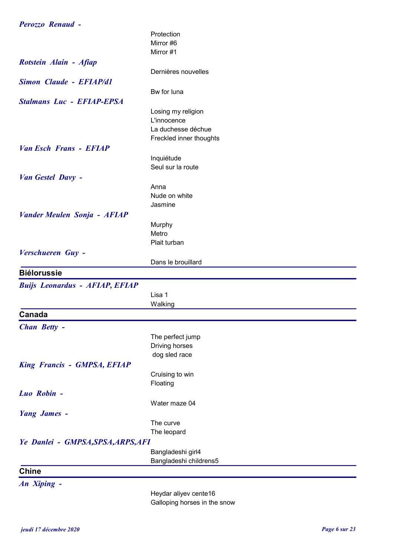| Perozzo Renaud -                      |                         |
|---------------------------------------|-------------------------|
|                                       | Protection              |
|                                       | Mirror #6               |
|                                       | Mirror #1               |
| Rotstein Alain - Afiap                |                         |
|                                       | Dernières nouvelles     |
| <b>Simon Claude - EFIAP/d1</b>        |                         |
|                                       | Bw for luna             |
| <b>Stalmans Luc - EFIAP-EPSA</b>      |                         |
|                                       | Losing my religion      |
|                                       | L'innocence             |
|                                       | La duchesse déchue      |
|                                       | Freckled inner thoughts |
| <b>Van Esch Frans - EFIAP</b>         |                         |
|                                       | Inquiétude              |
|                                       | Seul sur la route       |
| Van Gestel Davy -                     |                         |
|                                       | Anna                    |
|                                       | Nude on white           |
|                                       | Jasmine                 |
| <b>Vander Meulen Sonja - AFIAP</b>    |                         |
|                                       | Murphy                  |
|                                       | Metro                   |
|                                       | Plait turban            |
| Verschueren Guy -                     |                         |
|                                       | Dans le brouillard      |
| <b>Biélorussie</b>                    |                         |
|                                       |                         |
| <b>Buijs Leonardus - AFIAP, EFIAP</b> |                         |
|                                       | Lisa 1                  |
|                                       | Walking                 |
| Canada                                |                         |
| Chan Betty -                          |                         |
|                                       | The perfect jump        |
|                                       | Driving horses          |
|                                       | dog sled race           |
| <b>King Francis - GMPSA, EFIAP</b>    |                         |
|                                       | Cruising to win         |
|                                       | Floating                |
| Luo Robin -                           |                         |
|                                       | Water maze 04           |
| <b>Yang James -</b>                   |                         |
|                                       | The curve               |
|                                       | The leopard             |
| Ye Danlei - GMPSA, SPSA, ARPS, AFI    |                         |
|                                       | Bangladeshi girl4       |
|                                       | Bangladeshi childrens5  |
| <b>Chine</b>                          |                         |
|                                       |                         |
| An Xiping -                           | Heydar alivey cente16   |
|                                       |                         |

Heydar aliyev cente16 Galloping horses in the snow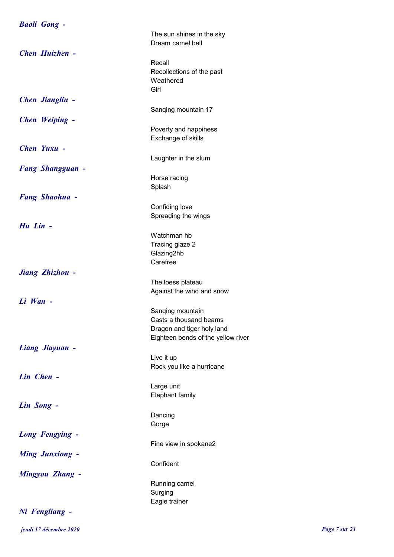| <b>Baoli Gong -</b>     |                                         |
|-------------------------|-----------------------------------------|
|                         | The sun shines in the sky               |
|                         | Dream camel bell                        |
| <b>Chen Huizhen -</b>   |                                         |
|                         | Recall                                  |
|                         | Recollections of the past               |
|                         | Weathered<br>Girl                       |
| <b>Chen Jianglin -</b>  |                                         |
|                         | Sanqing mountain 17                     |
| <b>Chen Weiping -</b>   |                                         |
|                         | Poverty and happiness                   |
|                         | Exchange of skills                      |
| Chen Yuxu -             |                                         |
|                         | Laughter in the slum                    |
| <b>Fang Shangguan -</b> |                                         |
|                         | Horse racing                            |
|                         | Splash                                  |
| <b>Fang Shaohua -</b>   |                                         |
|                         | Confiding love                          |
|                         | Spreading the wings                     |
| Hu Lin -                |                                         |
|                         | Watchman hb                             |
|                         | Tracing glaze 2                         |
|                         | Glazing2hb<br>Carefree                  |
| Jiang Zhizhou -         |                                         |
|                         | The loess plateau                       |
|                         | Against the wind and snow               |
| $Li$ <i>Wan</i> $-$     |                                         |
|                         | Sanging mountain                        |
|                         | Casts a thousand beams                  |
|                         | Dragon and tiger holy land              |
|                         | Eighteen bends of the yellow river      |
| Liang Jiayuan -         |                                         |
|                         | Live it up<br>Rock you like a hurricane |
| Lin Chen -              |                                         |
|                         | Large unit                              |
|                         | Elephant family                         |
| Lin Song -              |                                         |
|                         | Dancing                                 |
|                         | Gorge                                   |
| <b>Long Fengying -</b>  |                                         |
|                         | Fine view in spokane2                   |
| <b>Ming Junxiong -</b>  |                                         |
|                         | Confident                               |
| <b>Mingyou Zhang -</b>  |                                         |
|                         | Running camel                           |
|                         | Surging                                 |
| Ni Fengliang -          | Eagle trainer                           |
|                         |                                         |

jeudi 17 décembre 2020 Page 7 sur 23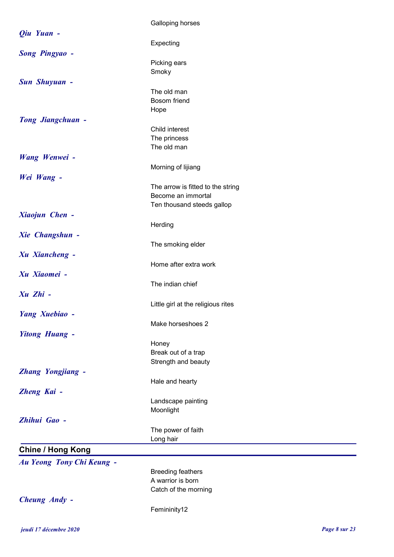|                           | Galloping horses                   |
|---------------------------|------------------------------------|
| Qiu Yuan -                |                                    |
|                           | Expecting                          |
| <b>Song Pingyao -</b>     |                                    |
|                           | Picking ears                       |
|                           | Smoky                              |
| <b>Sun Shuyuan -</b>      |                                    |
|                           | The old man                        |
|                           | Bosom friend<br>Hope               |
| <b>Tong Jiangchuan -</b>  |                                    |
|                           | Child interest                     |
|                           | The princess                       |
|                           | The old man                        |
| Wang Wenwei -             |                                    |
|                           | Morning of lijiang                 |
| Wei Wang -                |                                    |
|                           | The arrow is fitted to the string  |
|                           | Become an immortal                 |
|                           | Ten thousand steeds gallop         |
| Xiaojun Chen -            |                                    |
|                           | Herding                            |
| <b>Xie Changshun -</b>    |                                    |
|                           | The smoking elder                  |
| <b>Xu Xiancheng -</b>     | Home after extra work              |
| Xu Xiaomei -              |                                    |
|                           | The indian chief                   |
| Xu Zhi -                  |                                    |
|                           | Little girl at the religious rites |
| Yang Xuebiao -            |                                    |
|                           | Make horseshoes 2                  |
| <b>Yitong Huang -</b>     |                                    |
|                           | Honey                              |
|                           | Break out of a trap                |
|                           | Strength and beauty                |
| <b>Zhang Yongjiang -</b>  |                                    |
|                           | Hale and hearty                    |
| Zheng Kai -               |                                    |
|                           | Landscape painting                 |
| Zhihui Gao -              | Moonlight                          |
|                           | The power of faith                 |
|                           | Long hair                          |
| <b>Chine / Hong Kong</b>  |                                    |
|                           |                                    |
| Au Yeong Tony Chi Keung - | <b>Breeding feathers</b>           |
|                           | A warrior is born                  |
|                           | Catch of the morning               |
| Cheung Andy -             |                                    |
|                           | Femininity12                       |
|                           |                                    |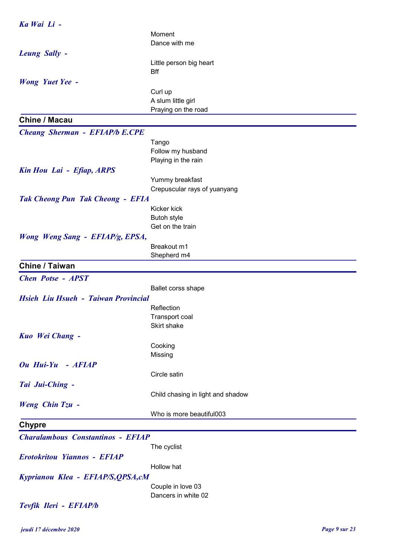| Ka Wai Li -                              |                                   |
|------------------------------------------|-----------------------------------|
|                                          | Moment                            |
|                                          | Dance with me                     |
| <b>Leung Sally -</b>                     |                                   |
|                                          | Little person big heart           |
|                                          | <b>Bff</b>                        |
| <b>Wong Yuet Yee -</b>                   |                                   |
|                                          | Curl up                           |
|                                          | A slum little girl                |
|                                          | Praying on the road               |
| <b>Chine / Macau</b>                     |                                   |
| <b>Cheang Sherman - EFIAP/b E.CPE</b>    |                                   |
|                                          | Tango                             |
|                                          | Follow my husband                 |
|                                          | Playing in the rain               |
| Kin Hou Lai - Efiap, ARPS                |                                   |
|                                          | Yummy breakfast                   |
|                                          | Crepuscular rays of yuanyang      |
| <b>Tak Cheong Pun Tak Cheong - EFIA</b>  |                                   |
|                                          | Kicker kick                       |
|                                          | Butoh style                       |
|                                          | Get on the train                  |
| Wong Weng Sang - EFIAP/g, EPSA,          |                                   |
|                                          | Breakout m1                       |
|                                          | Shepherd m4                       |
| <b>Chine / Taiwan</b>                    |                                   |
| <b>Chen Potse - APST</b>                 |                                   |
|                                          | Ballet corss shape                |
| Hsieh Liu Hsueh - Taiwan Provincial      |                                   |
|                                          | Reflection                        |
|                                          | Transport coal                    |
|                                          | Skirt shake                       |
| Kuo Wei Chang -                          |                                   |
|                                          | Cooking<br>Missing                |
| Ou Hui-Yu - AFIAP                        |                                   |
|                                          | Circle satin                      |
| Tai Jui-Ching -                          |                                   |
|                                          | Child chasing in light and shadow |
| <b>Weng Chin Tzu -</b>                   |                                   |
|                                          | Who is more beautiful003          |
|                                          |                                   |
| <b>Chypre</b>                            |                                   |
| <b>Charalambous Constantinos - EFIAP</b> |                                   |
|                                          | The cyclist                       |
| <b>Erotokritou Yiannos - EFIAP</b>       |                                   |
|                                          | Hollow hat                        |
| Kyprianou Klea - EFIAP/S, QPSA, cM       |                                   |
|                                          | Couple in love 03                 |
|                                          |                                   |
|                                          | Dancers in white 02               |
| Tevfik Ileri - EFIAP/b                   |                                   |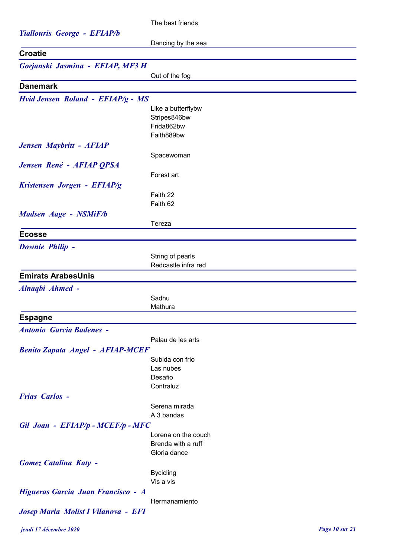The best friends

| <b>Yiallouris George - EFIAP/b</b>      |                                    |
|-----------------------------------------|------------------------------------|
| <b>Croatie</b>                          | Dancing by the sea                 |
| Gorjanski Jasmina - EFIAP, MF3 H        |                                    |
|                                         | Out of the fog                     |
| <b>Danemark</b>                         |                                    |
|                                         |                                    |
| Hvid Jensen Roland - EFIAP/g - MS       |                                    |
|                                         | Like a butterflybw<br>Stripes846bw |
|                                         | Frida862bw                         |
|                                         | Faith889bw                         |
| Jensen Maybritt - AFIAP                 |                                    |
|                                         | Spacewoman                         |
| Jensen René - AFIAP QPSA                |                                    |
|                                         | Forest art                         |
| Kristensen Jorgen - EFIAP/g             |                                    |
|                                         | Faith 22                           |
|                                         | Faith 62                           |
| Madsen Aage - NSMiF/b                   |                                    |
|                                         | Tereza                             |
| <b>Ecosse</b>                           |                                    |
| Downie Philip -                         |                                    |
|                                         | String of pearls                   |
|                                         | Redcastle infra red                |
| <b>Emirats ArabesUnis</b>               |                                    |
| Alnaqbi Ahmed -                         |                                    |
|                                         | Sadhu                              |
|                                         | Mathura                            |
| <b>Espagne</b>                          |                                    |
| <b>Antonio Garcia Badenes -</b>         |                                    |
|                                         | Palau de les arts                  |
| <b>Benito Zapata Angel - AFIAP-MCEF</b> |                                    |
|                                         | Subida con frio                    |
|                                         | Las nubes                          |
|                                         | Desafio                            |
|                                         | Contraluz                          |
| <b>Frias Carlos -</b>                   |                                    |
|                                         | Serena mirada                      |
|                                         | A 3 bandas                         |
| Gil Joan - EFIAP/p - MCEF/p - MFC       | Lorena on the couch                |
|                                         | Brenda with a ruff                 |
|                                         | Gloria dance                       |
| <b>Gomez Catalina Katy -</b>            |                                    |
|                                         | <b>Bycicling</b>                   |
|                                         | Vis a vis                          |
| Higueras Garcia Juan Francisco - A      |                                    |

Hermanamiento

Josep Maria Molist I Vilanova - EFI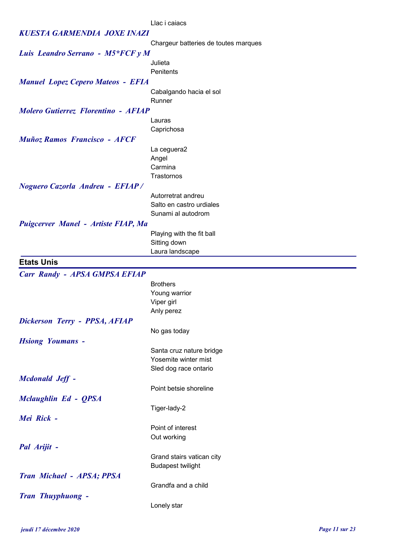KUESTA GARMENDIA JOXE INAZI Chargeur batteries de toutes marques Luis Leandro Serrano - M5\*FCF y M Julieta **Penitents** Manuel Lopez Cepero Mateos - EFIA Cabalgando hacia el sol Runner Molero Gutierrez Florentino - AFIAP Lauras **Caprichosa** Muñoz Ramos Francisco - AFCF La ceguera2 **Angel** Carmina **Trastornos** Noguero Cazorla Andreu - EFIAP / Autorretrat andreu Salto en castro urdiales Sunami al autodrom Puigcerver Manel - Artiste FIAP, Ma Playing with the fit ball Sitting down Laura landscape Etats Unis Carr Randy - APSA GMPSA EFIAP **Brothers** Young warrior Viper girl Anly perez Dickerson Terry - PPSA, AFIAP No gas today Hsiong Youmans - Santa cruz nature bridge Yosemite winter mist Sled dog race ontario Mcdonald Jeff - Point betsie shoreline Mclaughlin Ed - QPSA Tiger-lady-2 Mei Rick - Point of interest Out working Pal Arijit - Grand stairs vatican city Budapest twilight Tran Michael - APSA; PPSA Grandfa and a child

Llac i caiacs

Tran Thuyphuong -

Lonely star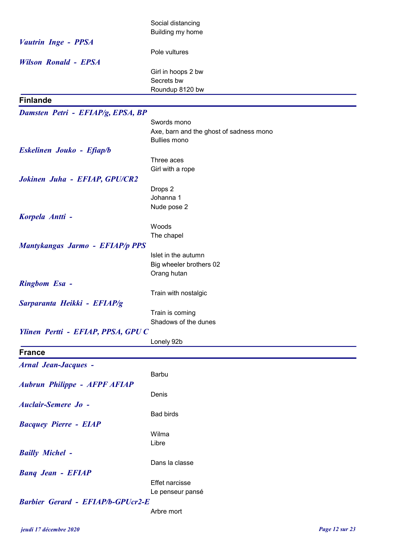|                                          | Social distancing                                      |
|------------------------------------------|--------------------------------------------------------|
|                                          | Building my home                                       |
| <b>Vautrin Inge - PPSA</b>               | Pole vultures                                          |
| <b>Wilson Ronald - EPSA</b>              |                                                        |
|                                          | Girl in hoops 2 bw                                     |
|                                          | Secrets bw                                             |
|                                          | Roundup 8120 bw                                        |
| <b>Finlande</b>                          |                                                        |
| Damsten Petri - EFIAP/g, EPSA, BP        |                                                        |
|                                          | Swords mono<br>Axe, barn and the ghost of sadness mono |
|                                          | <b>Bullies mono</b>                                    |
| Eskelinen Jouko - Efiap/b                |                                                        |
|                                          | Three aces                                             |
|                                          | Girl with a rope                                       |
| Jokinen Juha - EFIAP, GPU/CR2            |                                                        |
|                                          | Drops 2                                                |
|                                          | Johanna 1                                              |
|                                          | Nude pose 2                                            |
| Korpela Antti -                          | Woods                                                  |
|                                          | The chapel                                             |
| <b>Mantykangas Jarmo - EFIAP/p PPS</b>   |                                                        |
|                                          | Islet in the autumn                                    |
|                                          | Big wheeler brothers 02                                |
|                                          | Orang hutan                                            |
| <b>Ringbom Esa -</b>                     |                                                        |
|                                          | Train with nostalgic                                   |
| Sarparanta Heikki - EFIAP/g              |                                                        |
|                                          | Train is coming<br>Shadows of the dunes                |
| Ylinen Pertti - EFIAP, PPSA, GPUC        |                                                        |
|                                          | Lonely 92b                                             |
| <b>France</b>                            |                                                        |
| <b>Arnal Jean-Jacques -</b>              |                                                        |
|                                          | Barbu                                                  |
| <b>Aubrun Philippe - AFPF AFIAP</b>      |                                                        |
|                                          | Denis                                                  |
| <b>Auclair-Semere Jo -</b>               |                                                        |
|                                          | <b>Bad birds</b>                                       |
| <b>Bacquey Pierre - EIAP</b>             |                                                        |
|                                          | Wilma<br>Libre                                         |
| <b>Bailly Michel -</b>                   |                                                        |
|                                          | Dans la classe                                         |
| <b>Banq Jean - EFIAP</b>                 |                                                        |
|                                          | <b>Effet narcisse</b>                                  |
|                                          | Le penseur pansé                                       |
| <b>Barbier Gerard - EFIAP/b-GPUcr2-E</b> |                                                        |
|                                          | Arbre mort                                             |
|                                          |                                                        |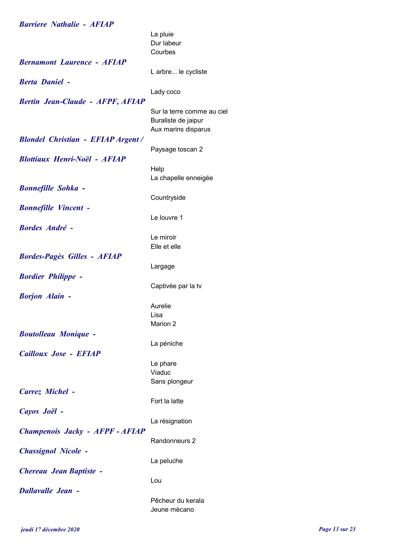| <b>Barriere Nathalie - AFIAP</b>         |                            |
|------------------------------------------|----------------------------|
|                                          | La pluie                   |
|                                          | Dur labeur                 |
|                                          | Courbes                    |
| <b>Bernamont Laurence - AFIAP</b>        |                            |
|                                          | L arbre le cycliste        |
| <b>Berta Daniel -</b>                    |                            |
|                                          |                            |
|                                          | Lady coco                  |
| <b>Bertin Jean-Claude - AFPF, AFIAP</b>  |                            |
|                                          | Sur la terre comme au ciel |
|                                          | Buraliste de jaipur        |
|                                          | Aux marins disparus        |
| <b>Blondel Christian - EFIAP Argent/</b> |                            |
|                                          | Paysage toscan 2           |
| <b>Blottiaux Henri-Noël - AFIAP</b>      |                            |
|                                          | Help                       |
|                                          | La chapelle enneigée       |
| <b>Bonnefille Sohka -</b>                |                            |
|                                          | Countryside                |
|                                          |                            |
| <b>Bonnefille Vincent -</b>              |                            |
|                                          | Le louvre 1                |
| <b>Bordes André -</b>                    |                            |
|                                          | Le miroir                  |
|                                          | Elle et elle               |
| <b>Bordes-Pagès Gilles - AFIAP</b>       |                            |
|                                          | Largage                    |
| <b>Bordier Philippe -</b>                |                            |
|                                          | Captivée par la tv         |
| <b>Borjon Alain -</b>                    |                            |
|                                          | Aurelie                    |
|                                          | Lisa                       |
|                                          | Marion 2                   |
|                                          |                            |
| <b>Boutolleau Monique -</b>              |                            |
|                                          | La péniche                 |
| Cailloux Jose - EFIAP                    |                            |
|                                          | Le phare                   |
|                                          | Viaduc                     |
|                                          | Sans plongeur              |
| <b>Carrez Michel -</b>                   |                            |
|                                          | Fort la latte              |
| Cayos Joël -                             |                            |
|                                          | La résignation             |
| Champenois Jacky - AFPF - AFIAP          |                            |
|                                          | Randonneurs 2              |
| <b>Chassignol Nicole -</b>               |                            |
|                                          | La peluche                 |
|                                          |                            |
| Chereau Jean Baptiste -                  |                            |
|                                          | Lou                        |
| <b>Dallavalle Jean -</b>                 |                            |
|                                          | Pêcheur du kerala          |
|                                          | Jeune mécano               |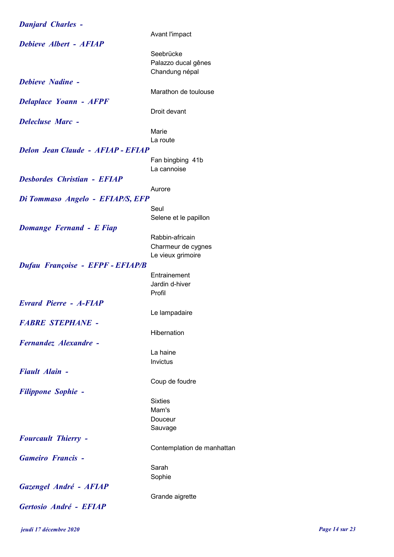Danjard Charles - Avant l'impact Debieve Albert - AFIAP Seebrücke Palazzo ducal gênes Chandung népal Debieve Nadine - Marathon de toulouse Delaplace Yoann - AFPF Droit devant Delecluse Marc - Marie La route Delon Jean Claude - AFIAP - EFIAP Fan bingbing 41b La cannoise Desbordes Christian - EFIAP Aurore Di Tommaso Angelo - EFIAP/S, EFP Seul Selene et le papillon Domange Fernand - E Fiap Rabbin-africain Charmeur de cygnes Le vieux grimoire Dufau Françoise - EFPF - EFIAP/B **Entrainement** Jardin d-hiver Profil Evrard Pierre - A-FIAP Le lampadaire FABRE STEPHANE - **Hibernation** Fernandez Alexandre - La haine Invictus Fiault Alain - Coup de foudre Filippone Sophie - Sixties Mam's Douceur Sauvage Fourcault Thierry - Contemplation de manhattan Gameiro Francis - Sarah Sophie Gazengel André - AFIAP Grande aigrette Gertosio André - EFIAP

jeudi 17 décembre 2020 Page 14 sur 23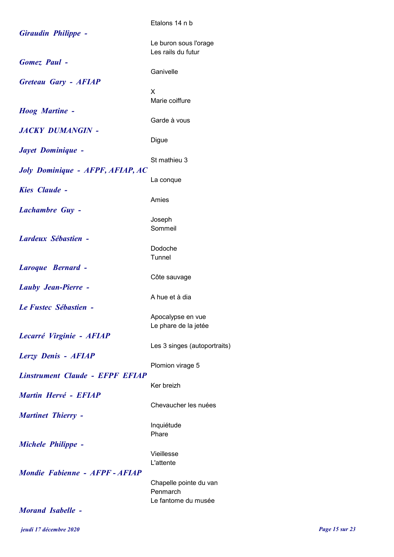|                                                    | Etalons 14 n b                              |
|----------------------------------------------------|---------------------------------------------|
| <b>Giraudin Philippe -</b>                         | Le buron sous l'orage<br>Les rails du futur |
| <b>Gomez</b> Paul -<br><b>Greteau Gary - AFIAP</b> | Ganivelle                                   |
|                                                    | X<br>Marie coiffure                         |
| <b>Hoog Martine -</b><br><b>JACKY DUMANGIN -</b>   | Garde à vous                                |
| Jayet Dominique -                                  | Digue                                       |
| Joly Dominique - AFPF, AFIAP, AC                   | St mathieu 3                                |
| <b>Kies Claude -</b>                               | La conque<br>Amies                          |
| <b>Lachambre Guy -</b>                             | Joseph                                      |
| <b>Lardeux Sébastien -</b>                         | Sommeil<br>Dodoche                          |
| Laroque Bernard -                                  | Tunnel                                      |
| <b>Lauby Jean-Pierre -</b>                         | Côte sauvage                                |
| Le Fustec Sébastien -                              | A hue et à dia<br>Apocalypse en vue         |
| Lecarré Virginie - AFIAP                           | Le phare de la jetée                        |
| Lerzy Denis - AFIAP                                | Les 3 singes (autoportraits)                |
| <b>Linstrument Claude - EFPF EFIAP</b>             | Plomion virage 5<br>Ker breizh              |
| Martin Hervé - EFIAP                               | Chevaucher les nuées                        |
| <b>Martinet Thierry -</b>                          | Inquiétude                                  |
| <b>Michele Philippe -</b>                          | Phare<br>Vieillesse                         |
| Mondie Fabienne - AFPF-AFIAP                       | L'attente                                   |
|                                                    | Chapelle pointe du van<br>Penmarch          |
| <b>Morand Isabelle -</b>                           | Le fantome du musée                         |

jeudi 17 décembre 2020 Page 15 sur 23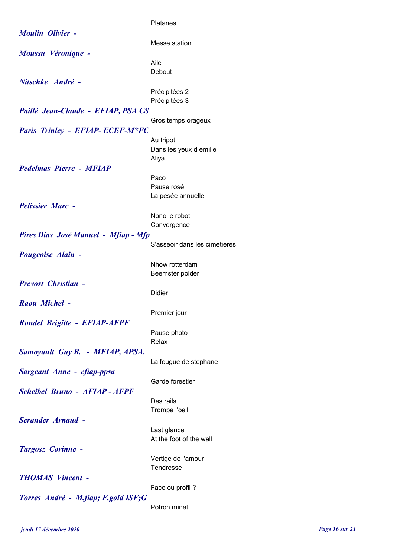|                                        | Platanes                      |
|----------------------------------------|-------------------------------|
| <b>Moulin Olivier -</b>                |                               |
|                                        | Messe station                 |
|                                        |                               |
| Moussu Véronique -                     |                               |
|                                        | Aile                          |
|                                        | Debout                        |
| Nitschke André -                       |                               |
|                                        |                               |
|                                        | Précipitées 2                 |
|                                        | Précipitées 3                 |
| Paillé Jean-Claude - EFIAP, PSA CS     |                               |
|                                        | Gros temps orageux            |
|                                        |                               |
| <b>Paris Trinley - EFIAP-ECEF-M*FC</b> |                               |
|                                        | Au tripot                     |
|                                        | Dans les yeux d emilie        |
|                                        | Aliya                         |
| <b>Pedelmas Pierre - MFIAP</b>         |                               |
|                                        |                               |
|                                        | Paco                          |
|                                        | Pause rosé                    |
|                                        | La pesée annuelle             |
| <b>Pelissier Marc -</b>                |                               |
|                                        | Nono le robot                 |
|                                        |                               |
|                                        | Convergence                   |
| Pires Dias José Manuel - Mfiap - Mfp   |                               |
|                                        | S'asseoir dans les cimetières |
| <b>Pougeoise Alain -</b>               |                               |
|                                        |                               |
|                                        | Nhow rotterdam                |
|                                        | Beemster polder               |
| <b>Prevost Christian -</b>             |                               |
|                                        | Didier                        |
| Raou Michel -                          |                               |
|                                        |                               |
|                                        | Premier jour                  |
| <b>Rondel Brigitte - EFIAP-AFPF</b>    |                               |
|                                        | Pause photo                   |
|                                        | Relax                         |
|                                        |                               |
| Samoyault Guy B. - MFIAP, APSA,        |                               |
|                                        | La fougue de stephane         |
| Sargeant Anne - efiap-ppsa             |                               |
|                                        | Garde forestier               |
|                                        |                               |
| <b>Scheibel Bruno - AFIAP - AFPF</b>   |                               |
|                                        | Des rails                     |
|                                        | Trompe l'oeil                 |
| <b>Serander Arnaud -</b>               |                               |
|                                        |                               |
|                                        | Last glance                   |
|                                        | At the foot of the wall       |
| <b>Targosz Corinne -</b>               |                               |
|                                        | Vertige de l'amour            |
|                                        | Tendresse                     |
|                                        |                               |
| <b>THOMAS Vincent -</b>                |                               |
|                                        | Face ou profil?               |
| Torres André - M.fiap; F.gold ISF;G    |                               |
|                                        |                               |
|                                        | Potron minet                  |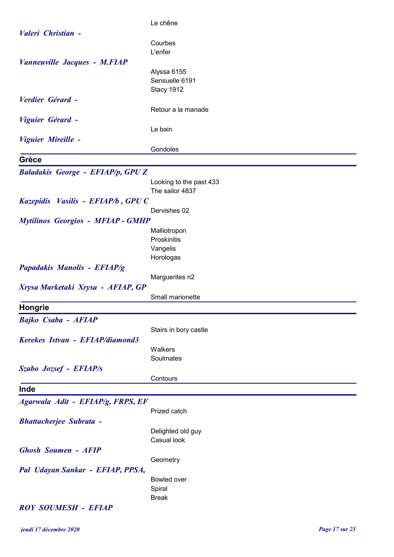|                                          | Le chêne                |
|------------------------------------------|-------------------------|
| Valeri Christian -                       |                         |
|                                          | Courbes                 |
|                                          | L'enfer                 |
| <b>Vanneuville Jacques - M.FIAP</b>      |                         |
|                                          | Alyssa 6155             |
|                                          | Sensuelle 6191          |
|                                          | Stacy 1912              |
| Verdier Gérard -                         |                         |
|                                          | Retour a la manade      |
| Viguier Gérard -                         |                         |
|                                          | Le bain                 |
| Viguier Mireille -                       |                         |
|                                          | Gondoles                |
| Grèce                                    |                         |
| <b>Baladakis George - EFIAP/p, GPUZ</b>  |                         |
|                                          | Looking to the past 433 |
|                                          | The sailor 4837         |
| Kazepidis Vasilis - EFIAP/b, GPU C       |                         |
|                                          | Dervishes 02            |
| <b>Mytilinos Georgios - MFIAP - GMHP</b> |                         |
|                                          | Malliotropon            |
|                                          | Proskinitis             |
|                                          | Vangelis                |
|                                          | Horologas               |
| Papadakis Manolis - EFIAP/g              |                         |
|                                          | Marguerites n2          |
| Xrysa Marketaki Xrysa - AFIAP, GP        |                         |
|                                          | Small marionette        |
| <b>Hongrie</b>                           |                         |
| Bajko Csaba - AFIAP                      |                         |
|                                          | Stairs in bory castle   |
| Kerekes Istvan - EFIAP/diamond3          |                         |
|                                          | Walkers                 |
|                                          | Soulmates               |
| Szabo Jozsef - EFIAP/s                   |                         |
|                                          | Contours                |
| Inde                                     |                         |
|                                          |                         |
| Agarwala Adit - EFIAP/g, FRPS, EF        | Prized catch            |
| <b>Bhattacherjee Subrata -</b>           |                         |
|                                          | Delighted old guy       |
|                                          | Casual look             |
| <b>Ghosh Soumen - AFIP</b>               |                         |
|                                          | Geometry                |
| Pal Udayan Sankar - EFIAP, PPSA,         |                         |
|                                          | Bowled over             |
|                                          | Spiral                  |
|                                          | <b>Break</b>            |
| <b>ROY SOUMESH - EFIAP</b>               |                         |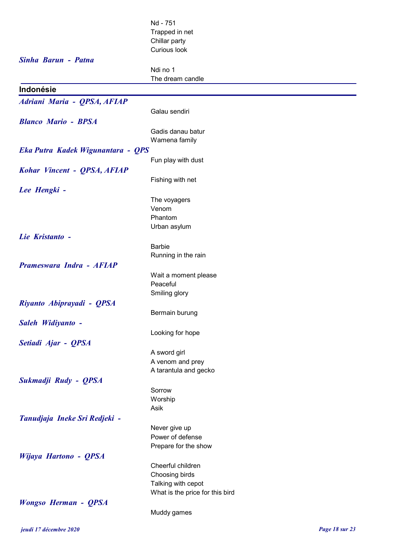|                                   | Nd - 751                          |
|-----------------------------------|-----------------------------------|
|                                   | Trapped in net                    |
|                                   | Chillar party                     |
|                                   | Curious look                      |
| Sinha Barun - Patna               |                                   |
|                                   | Ndi no 1<br>The dream candle      |
| Indonésie                         |                                   |
|                                   |                                   |
| Adriani Maria - QPSA, AFIAP       | Galau sendiri                     |
| <b>Blanco Mario - BPSA</b>        |                                   |
|                                   | Gadis danau batur                 |
|                                   | Wamena family                     |
| Eka Putra Kadek Wigunantara - QPS |                                   |
|                                   | Fun play with dust                |
| Kohar Vincent - QPSA, AFIAP       |                                   |
|                                   | Fishing with net                  |
| Lee Hengki -                      |                                   |
|                                   | The voyagers                      |
|                                   | Venom                             |
|                                   | Phantom<br>Urban asylum           |
| Lie Kristanto -                   |                                   |
|                                   | <b>Barbie</b>                     |
|                                   | Running in the rain               |
| Prameswara Indra - AFIAP          |                                   |
|                                   | Wait a moment please              |
|                                   | Peaceful                          |
|                                   | Smiling glory                     |
| Riyanto Abiprayadi - QPSA         |                                   |
|                                   | Bermain burung                    |
| Saleh Widiyanto -                 |                                   |
|                                   | Looking for hope                  |
| Setiadi Ajar - QPSA               | A sword girl                      |
|                                   | A venom and prey                  |
|                                   | A tarantula and gecko             |
| Sukmadji Rudy - QPSA              |                                   |
|                                   | Sorrow                            |
|                                   | Worship                           |
|                                   | Asik                              |
| Tanudjaja Ineke Sri Redjeki -     |                                   |
|                                   | Never give up<br>Power of defense |
|                                   | Prepare for the show              |
| Wijaya Hartono - QPSA             |                                   |
|                                   | Cheerful children                 |
|                                   | Choosing birds                    |
|                                   | Talking with cepot                |
|                                   | What is the price for this bird   |
| <b>Wongso Herman - QPSA</b>       |                                   |
|                                   | Muddy games                       |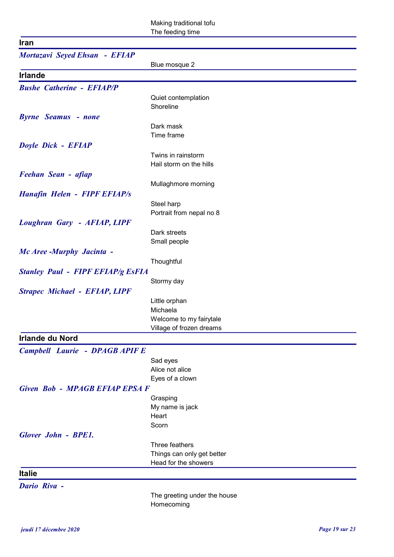| <b>Iran</b>                              |                                                     |
|------------------------------------------|-----------------------------------------------------|
| Mortazavi Seyed Ehsan - EFIAP            |                                                     |
|                                          | Blue mosque 2                                       |
| <b>Irlande</b>                           |                                                     |
| <b>Bushe Catherine - EFIAP/P</b>         |                                                     |
|                                          | Quiet contemplation                                 |
|                                          | Shoreline                                           |
| <b>Byrne Seamus - none</b>               |                                                     |
|                                          | Dark mask                                           |
|                                          | Time frame                                          |
| Doyle Dick - EFIAP                       |                                                     |
|                                          | Twins in rainstorm                                  |
|                                          | Hail storm on the hills                             |
| Feehan Sean - afiap                      |                                                     |
|                                          | Mullaghmore morning                                 |
| <b>Hanafin Helen - FIPF EFIAP/s</b>      |                                                     |
|                                          | Steel harp                                          |
|                                          | Portrait from nepal no 8                            |
| Loughran Gary - AFIAP, LIPF              |                                                     |
|                                          | Dark streets                                        |
|                                          | Small people                                        |
| Mc Aree -Murphy Jacinta -                |                                                     |
|                                          | Thoughtful                                          |
| <b>Stanley Paul - FIPF EFIAP/g EsFIA</b> |                                                     |
|                                          | Stormy day                                          |
| <b>Strapec Michael - EFIAP, LIPF</b>     |                                                     |
|                                          | Little orphan                                       |
|                                          | Michaela                                            |
|                                          | Welcome to my fairytale<br>Village of frozen dreams |
| <b>Irlande du Nord</b>                   |                                                     |
|                                          |                                                     |
| <b>Campbell Laurie - DPAGB APIF E</b>    |                                                     |
|                                          | Sad eyes                                            |
|                                          | Alice not alice                                     |
|                                          | Eyes of a clown                                     |
| Given Bob - MPAGB EFIAP EPSA F           |                                                     |
|                                          | Grasping<br>My name is jack                         |
|                                          | Heart                                               |
|                                          | Scorn                                               |
| <b>Glover John - BPE1.</b>               |                                                     |
|                                          | Three feathers                                      |
|                                          | Things can only get better                          |
|                                          | Head for the showers                                |

## **Italie**

Dario Riva -

The greeting under the house Homecoming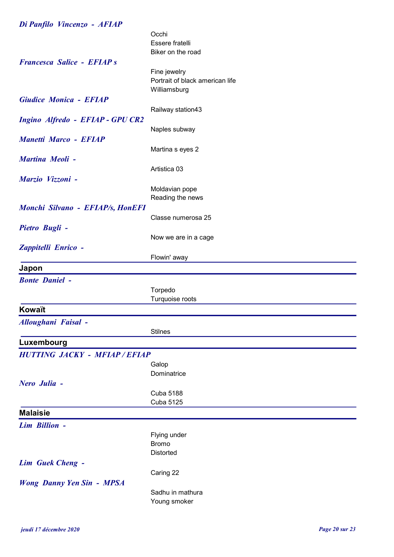| Di Panfilo Vincenzo - AFIAP        |                                    |
|------------------------------------|------------------------------------|
|                                    | Occhi                              |
|                                    | Essere fratelli                    |
|                                    | Biker on the road                  |
| <b>Francesca Salice - EFIAP s</b>  |                                    |
|                                    | Fine jewelry                       |
|                                    | Portrait of black american life    |
|                                    | Williamsburg                       |
| <b>Giudice Monica - EFIAP</b>      |                                    |
|                                    | Railway station43                  |
| Ingino Alfredo - EFIAP - GPU CR2   |                                    |
|                                    | Naples subway                      |
| <b>Manetti Marco - EFIAP</b>       |                                    |
|                                    | Martina s eyes 2                   |
| Martina Meoli -                    | Artistica 03                       |
|                                    |                                    |
| Marzio Vizzoni -                   |                                    |
|                                    | Moldavian pope<br>Reading the news |
| Monchi Silvano - EFIAP/s, HonEFI   |                                    |
|                                    | Classe numerosa 25                 |
| Pietro Bugli -                     |                                    |
|                                    | Now we are in a cage               |
| Zappitelli Enrico -                |                                    |
|                                    | Flowin' away                       |
| Japon                              |                                    |
|                                    |                                    |
| <b>Bonte Daniel -</b>              |                                    |
|                                    | Torpedo<br>Turquoise roots         |
|                                    |                                    |
| Kowaït                             |                                    |
| Alloughani Faisal -                |                                    |
|                                    | <b>Stilnes</b>                     |
| Luxembourg                         |                                    |
| <b>HUTTING JACKY - MFIAP/EFIAP</b> |                                    |
|                                    | Galop                              |
|                                    | Dominatrice                        |
| Nero Julia -                       |                                    |
|                                    | <b>Cuba 5188</b>                   |
|                                    | Cuba 5125                          |
| <b>Malaisie</b>                    |                                    |
| Lim Billion -                      |                                    |
|                                    | Flying under                       |
|                                    | <b>Bromo</b>                       |
|                                    | <b>Distorted</b>                   |
| <b>Lim Guek Cheng -</b>            |                                    |
|                                    | Caring 22                          |
| <b>Wong Danny Yen Sin - MPSA</b>   |                                    |
|                                    |                                    |
|                                    | Sadhu in mathura<br>Young smoker   |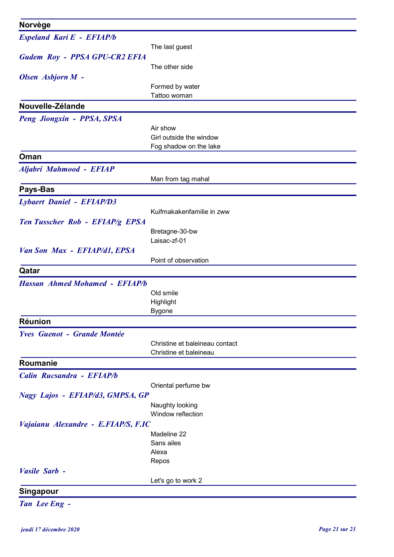| Norvège                               |                                 |
|---------------------------------------|---------------------------------|
| Espeland Kari E - EFIAP/b             |                                 |
|                                       | The last guest                  |
| Gudem Roy - PPSA GPU-CR2 EFIA         |                                 |
|                                       | The other side                  |
| Olsen Asbjorn M -                     |                                 |
|                                       | Formed by water<br>Tattoo woman |
| Nouvelle-Zélande                      |                                 |
| Peng Jiongxin - PPSA, SPSA            |                                 |
|                                       | Air show                        |
|                                       | Girl outside the window         |
|                                       | Fog shadow on the lake          |
| Oman                                  |                                 |
| Aljabri Mahmood - EFIAP               |                                 |
|                                       | Man from tag mahal              |
| Pays-Bas                              |                                 |
| <b>Lybaert Daniel - EFIAP/D3</b>      |                                 |
|                                       | Kuifmakakenfamilie in zww       |
| Ten Tusscher Rob - EFIAP/g EPSA       | Bretagne-30-bw                  |
|                                       | Laisac-zf-01                    |
| Van Son Max - EFIAP/d1, EPSA          |                                 |
|                                       | Point of observation            |
| Qatar                                 |                                 |
| <b>Hassan Ahmed Mohamed - EFIAP/b</b> |                                 |
|                                       | Old smile                       |
|                                       | Highlight                       |
| <b>Réunion</b>                        | <b>Bygone</b>                   |
| <b>Yves Guenot - Grande Montée</b>    |                                 |
|                                       | Christine et baleineau contact  |
|                                       | Christine et baleineau          |
| Roumanie                              |                                 |
| Calin Rucsandra - EFIAP/b             |                                 |
|                                       | Oriental perfume bw             |
| Nagy Lajos - EFIAP/d3, GMPSA, GP      |                                 |
|                                       | Naughty looking                 |
|                                       | Window reflection               |
| Vajaianu Alexandre - E.FIAP/S, F.IC   | Madeline 22                     |
|                                       | Sans ailes                      |
|                                       | Alexa                           |
|                                       | Repos                           |
| Vasile Sarb -                         |                                 |
|                                       | Let's go to work 2              |
| <b>Singapour</b>                      |                                 |
| Tan Lee Eng -                         |                                 |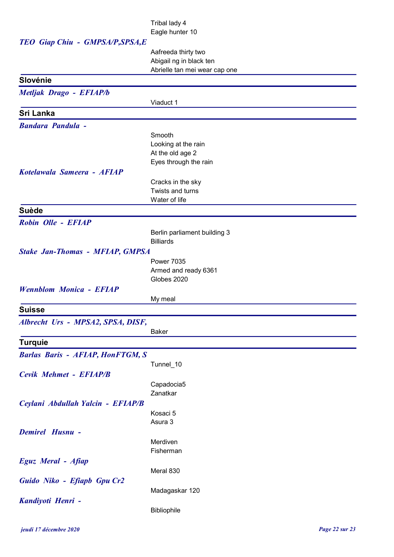## Tribal lady 4 Eagle hunter 10

| TEO Giap Chiu - GMPSA/P, SPSA, E        | Lugio namo To                 |
|-----------------------------------------|-------------------------------|
|                                         | Aafreeda thirty two           |
|                                         | Abigail ng in black ten       |
|                                         | Abrielle tan mei wear cap one |
| Slovénie                                |                               |
| Metljak Drago - EFIAP/b                 |                               |
|                                         | Viaduct 1                     |
| Sri Lanka                               |                               |
| <b>Bandara Pandula -</b>                |                               |
|                                         | Smooth                        |
|                                         | Looking at the rain           |
|                                         | At the old age 2              |
|                                         | Eyes through the rain         |
| Kotelawala Sameera - AFIAP              |                               |
|                                         | Cracks in the sky             |
|                                         | Twists and turns              |
|                                         | Water of life                 |
| <b>Suède</b>                            |                               |
| Robin Olle - EFIAP                      |                               |
|                                         | Berlin parliament building 3  |
|                                         | <b>Billiards</b>              |
| <b>Stake Jan-Thomas - MFIAP, GMPSA</b>  |                               |
|                                         | <b>Power 7035</b>             |
|                                         | Armed and ready 6361          |
|                                         | Globes 2020                   |
| <b>Wennblom Monica - EFIAP</b>          |                               |
|                                         | My meal                       |
| <b>Suisse</b>                           |                               |
| Albrecht Urs - MPSA2, SPSA, DISF,       |                               |
|                                         | <b>Baker</b>                  |
| <b>Turquie</b>                          |                               |
| <b>Barlas Baris - AFIAP, HonFTGM, S</b> |                               |
|                                         | Tunnel_10                     |
| Cevik Mehmet - EFIAP/B                  |                               |
|                                         | Capadocia5                    |
|                                         | Zanatkar                      |
| Ceylani Abdullah Yalcin - EFIAP/B       |                               |
|                                         | Kosaci 5                      |
|                                         | Asura 3                       |
| Demirel Husnu -                         |                               |
|                                         | Merdiven                      |
|                                         | Fisherman                     |
| Eguz Meral - Afiap                      |                               |
|                                         | Meral 830                     |
| Guido Niko - Efiapb Gpu Cr2             |                               |
|                                         | Madagaskar 120                |
| Kandiyoti Henri -                       |                               |
|                                         | Bibliophile                   |